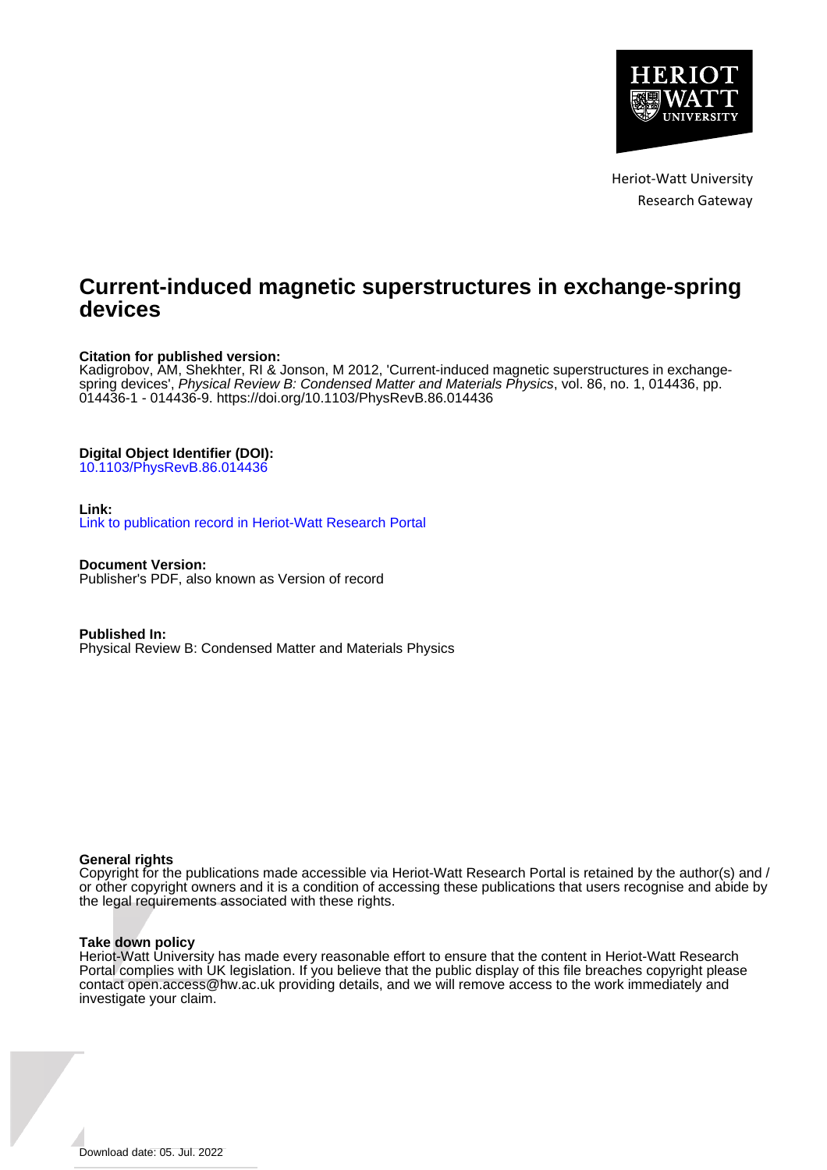

Heriot-Watt University Research Gateway

# **Current-induced magnetic superstructures in exchange-spring devices**

# **Citation for published version:**

Kadigrobov, AM, Shekhter, RI & Jonson, M 2012, 'Current-induced magnetic superstructures in exchangespring devices', Physical Review B: Condensed Matter and Materials Physics, vol. 86, no. 1, 014436, pp. 014436-1 - 014436-9. <https://doi.org/10.1103/PhysRevB.86.014436>

# **Digital Object Identifier (DOI):**

[10.1103/PhysRevB.86.014436](https://doi.org/10.1103/PhysRevB.86.014436)

## **Link:**

[Link to publication record in Heriot-Watt Research Portal](https://researchportal.hw.ac.uk/en/publications/03185917-4148-46f4-86db-d5babe676245)

**Document Version:** Publisher's PDF, also known as Version of record

**Published In:** Physical Review B: Condensed Matter and Materials Physics

## **General rights**

Copyright for the publications made accessible via Heriot-Watt Research Portal is retained by the author(s) and / or other copyright owners and it is a condition of accessing these publications that users recognise and abide by the legal requirements associated with these rights.

## **Take down policy**

Heriot-Watt University has made every reasonable effort to ensure that the content in Heriot-Watt Research Portal complies with UK legislation. If you believe that the public display of this file breaches copyright please contact open.access@hw.ac.uk providing details, and we will remove access to the work immediately and investigate your claim.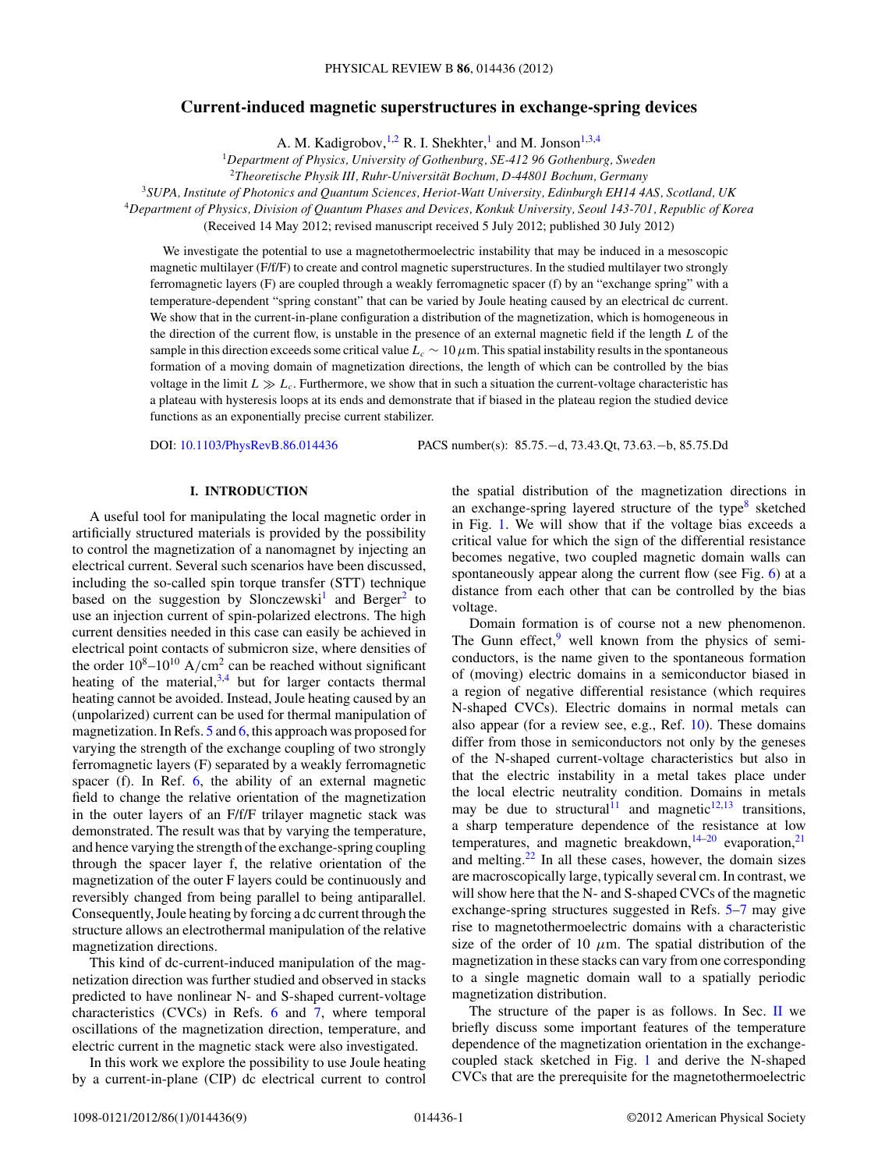## **Current-induced magnetic superstructures in exchange-spring devices**

A. M. Kadigrobov, <sup>1,2</sup> R. I. Shekhter,<sup>1</sup> and M. Jonson<sup>1,3,4</sup>

<sup>1</sup>*Department of Physics, University of Gothenburg, SE-412 96 Gothenburg, Sweden*

<sup>2</sup>*Theoretische Physik III, Ruhr-Universitat Bochum, D-44801 Bochum, Germany ¨*

<sup>3</sup>*SUPA, Institute of Photonics and Quantum Sciences, Heriot-Watt University, Edinburgh EH14 4AS, Scotland, UK*

<sup>4</sup>*Department of Physics, Division of Quantum Phases and Devices, Konkuk University, Seoul 143-701, Republic of Korea*

(Received 14 May 2012; revised manuscript received 5 July 2012; published 30 July 2012)

We investigate the potential to use a magnetothermoelectric instability that may be induced in a mesoscopic magnetic multilayer (F/f/F) to create and control magnetic superstructures. In the studied multilayer two strongly ferromagnetic layers (F) are coupled through a weakly ferromagnetic spacer (f) by an "exchange spring" with a temperature-dependent "spring constant" that can be varied by Joule heating caused by an electrical dc current. We show that in the current-in-plane configuration a distribution of the magnetization, which is homogeneous in the direction of the current flow, is unstable in the presence of an external magnetic field if the length *L* of the sample in this direction exceeds some critical value  $L_c \sim 10 \mu$ m. This spatial instability results in the spontaneous formation of a moving domain of magnetization directions, the length of which can be controlled by the bias voltage in the limit  $L \gg L_c$ . Furthermore, we show that in such a situation the current-voltage characteristic has a plateau with hysteresis loops at its ends and demonstrate that if biased in the plateau region the studied device functions as an exponentially precise current stabilizer.

DOI: [10.1103/PhysRevB.86.014436](http://dx.doi.org/10.1103/PhysRevB.86.014436) PACS number(s): 85*.*75*.*−d, 73*.*43*.*Qt, 73*.*63*.*−b, 85*.*75*.*Dd

#### **I. INTRODUCTION**

A useful tool for manipulating the local magnetic order in artificially structured materials is provided by the possibility to control the magnetization of a nanomagnet by injecting an electrical current. Several such scenarios have been discussed, including the so-called spin torque transfer (STT) technique based on the suggestion by Slonczewski<sup>1</sup> and Berger<sup>[2](#page-8-0)</sup> to use an injection current of spin-polarized electrons. The high current densities needed in this case can easily be achieved in electrical point contacts of submicron size, where densities of the order  $10^8 - 10^{10}$  A/cm<sup>2</sup> can be reached without significant heating of the material,  $3,4$  but for larger contacts thermal heating cannot be avoided. Instead, Joule heating caused by an (unpolarized) current can be used for thermal manipulation of magnetization. In Refs.  $5$  and  $6$ , this approach was proposed for varying the strength of the exchange coupling of two strongly ferromagnetic layers (F) separated by a weakly ferromagnetic spacer (f). In Ref. [6,](#page-8-0) the ability of an external magnetic field to change the relative orientation of the magnetization in the outer layers of an F/f/F trilayer magnetic stack was demonstrated. The result was that by varying the temperature, and hence varying the strength of the exchange-spring coupling through the spacer layer f, the relative orientation of the magnetization of the outer F layers could be continuously and reversibly changed from being parallel to being antiparallel. Consequently, Joule heating by forcing a dc current through the structure allows an electrothermal manipulation of the relative magnetization directions.

This kind of dc-current-induced manipulation of the magnetization direction was further studied and observed in stacks predicted to have nonlinear N- and S-shaped current-voltage characteristics (CVCs) in Refs. [6](#page-8-0) and [7,](#page-8-0) where temporal oscillations of the magnetization direction, temperature, and electric current in the magnetic stack were also investigated.

In this work we explore the possibility to use Joule heating by a current-in-plane (CIP) dc electrical current to control the spatial distribution of the magnetization directions in an exchange-spring layered structure of the type $8$  sketched in Fig. [1.](#page-2-0) We will show that if the voltage bias exceeds a critical value for which the sign of the differential resistance becomes negative, two coupled magnetic domain walls can spontaneously appear along the current flow (see Fig. [6\)](#page-6-0) at a distance from each other that can be controlled by the bias voltage.

Domain formation is of course not a new phenomenon. The Gunn effect, $9$  well known from the physics of semiconductors, is the name given to the spontaneous formation of (moving) electric domains in a semiconductor biased in a region of negative differential resistance (which requires N-shaped CVCs). Electric domains in normal metals can also appear (for a review see, e.g., Ref. [10\)](#page-8-0). These domains differ from those in semiconductors not only by the geneses of the N-shaped current-voltage characteristics but also in that the electric instability in a metal takes place under the local electric neutrality condition. Domains in metals may be due to structural<sup>[11](#page-8-0)</sup> and magnetic<sup>12,13</sup> transitions, a sharp temperature dependence of the resistance at low temperatures, and magnetic breakdown,  $14-20$  evaporation,  $21$ and melting. $22$  In all these cases, however, the domain sizes are macroscopically large, typically several cm. In contrast, we will show here that the N- and S-shaped CVCs of the magnetic exchange-spring structures suggested in Refs. [5–7](#page-8-0) may give rise to magnetothermoelectric domains with a characteristic size of the order of 10  $\mu$ m. The spatial distribution of the magnetization in these stacks can vary from one corresponding to a single magnetic domain wall to a spatially periodic magnetization distribution.

The structure of the paper is as follows. In Sec.  $\mathbf{II}$  $\mathbf{II}$  $\mathbf{II}$  we briefly discuss some important features of the temperature dependence of the magnetization orientation in the exchangecoupled stack sketched in Fig. [1](#page-2-0) and derive the N-shaped CVCs that are the prerequisite for the magnetothermoelectric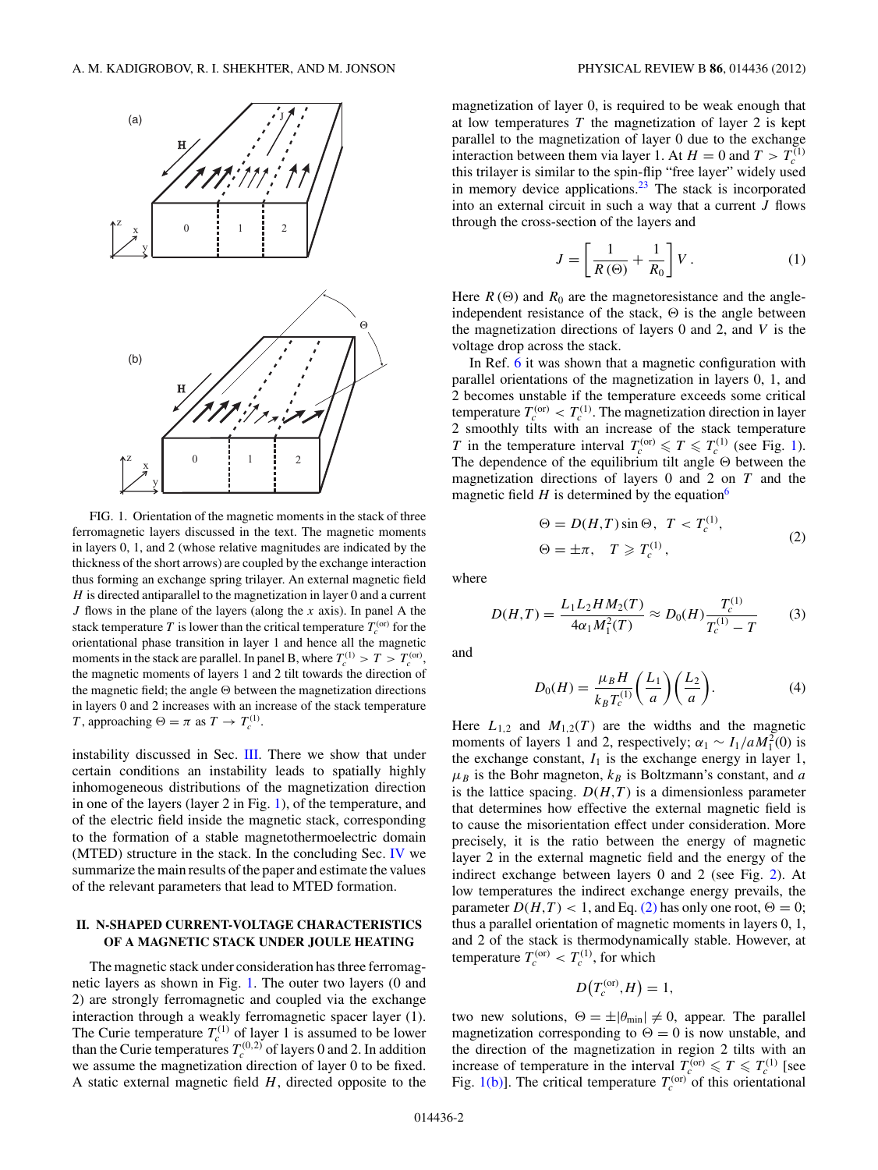<span id="page-2-0"></span>

FIG. 1. Orientation of the magnetic moments in the stack of three ferromagnetic layers discussed in the text. The magnetic moments in layers 0, 1, and 2 (whose relative magnitudes are indicated by the thickness of the short arrows) are coupled by the exchange interaction thus forming an exchange spring trilayer. An external magnetic field *H* is directed antiparallel to the magnetization in layer 0 and a current *J* flows in the plane of the layers (along the *x* axis). In panel A the stack temperature *T* is lower than the critical temperature  $T_c^{(or)}$  for the orientational phase transition in layer 1 and hence all the magnetic moments in the stack are parallel. In panel B, where  $T_c^{(1)} > T > T_c^{(or)}$ , the magnetic moments of layers 1 and 2 tilt towards the direction of the magnetic field; the angle  $\Theta$  between the magnetization directions in layers 0 and 2 increases with an increase of the stack temperature *T*, approaching  $\Theta = \pi$  as  $T \to T_c^{(1)}$ .

instability discussed in Sec. [III.](#page-4-0) There we show that under certain conditions an instability leads to spatially highly inhomogeneous distributions of the magnetization direction in one of the layers (layer 2 in Fig. 1), of the temperature, and of the electric field inside the magnetic stack, corresponding to the formation of a stable magnetothermoelectric domain (MTED) structure in the stack. In the concluding Sec. [IV](#page-7-0) we summarize the main results of the paper and estimate the values of the relevant parameters that lead to MTED formation.

#### **II. N-SHAPED CURRENT-VOLTAGE CHARACTERISTICS OF A MAGNETIC STACK UNDER JOULE HEATING**

The magnetic stack under consideration has three ferromagnetic layers as shown in Fig. 1. The outer two layers (0 and 2) are strongly ferromagnetic and coupled via the exchange interaction through a weakly ferromagnetic spacer layer (1). The Curie temperature  $T_c^{(1)}$  of layer 1 is assumed to be lower than the Curie temperatures  $T_c^{(0,2)}$  of layers 0 and 2. In addition we assume the magnetization direction of layer 0 to be fixed. A static external magnetic field *H*, directed opposite to the magnetization of layer 0, is required to be weak enough that at low temperatures *T* the magnetization of layer 2 is kept parallel to the magnetization of layer 0 due to the exchange interaction between them via layer 1. At  $H = 0$  and  $T > T_c^{(1)}$ this trilayer is similar to the spin-flip "free layer" widely used in memory device applications. $23$  The stack is incorporated into an external circuit in such a way that a current *J* flows through the cross-section of the layers and

$$
J = \left[\frac{1}{R\left(\Theta\right)} + \frac{1}{R_0}\right]V\,. \tag{1}
$$

Here  $R(\Theta)$  and  $R_0$  are the magnetoresistance and the angleindependent resistance of the stack,  $\Theta$  is the angle between the magnetization directions of layers 0 and 2, and *V* is the voltage drop across the stack.

In Ref. [6](#page-8-0) it was shown that a magnetic configuration with parallel orientations of the magnetization in layers 0, 1, and 2 becomes unstable if the temperature exceeds some critical temperature  $T_c^{(or)} < T_c^{(1)}$ . The magnetization direction in layer 2 smoothly tilts with an increase of the stack temperature *T* in the temperature interval  $T_c^{(or)} \le T \le T_c^{(1)}$  (see Fig. 1). The dependence of the equilibrium tilt angle  $\Theta$  between the magnetization directions of layers 0 and 2 on *T* and the magnetic field  $H$  is determined by the equation<sup>6</sup>

$$
\Theta = D(H, T) \sin \Theta, \ T < T_c^{(1)},
$$
\n
$$
\Theta = \pm \pi, \quad T \geq T_c^{(1)}, \tag{2}
$$

where

$$
D(H,T) = \frac{L_1 L_2 H M_2(T)}{4\alpha_1 M_1^2(T)} \approx D_0(H) \frac{T_c^{(1)}}{T_c^{(1)} - T}
$$
 (3)

and

$$
D_0(H) = \frac{\mu_B H}{k_B T_c^{(1)}} \left(\frac{L_1}{a}\right) \left(\frac{L_2}{a}\right).
$$
 (4)

Here  $L_{1,2}$  and  $M_{1,2}(T)$  are the widths and the magnetic moments of layers 1 and 2, respectively;  $\alpha_1 \sim I_1/aM_1^2(0)$  is the exchange constant,  $I_1$  is the exchange energy in layer 1,  $\mu_B$  is the Bohr magneton,  $k_B$  is Boltzmann's constant, and *a* is the lattice spacing.  $D(H,T)$  is a dimensionless parameter that determines how effective the external magnetic field is to cause the misorientation effect under consideration. More precisely, it is the ratio between the energy of magnetic layer 2 in the external magnetic field and the energy of the indirect exchange between layers 0 and 2 (see Fig. [2\)](#page-3-0). At low temperatures the indirect exchange energy prevails, the parameter  $D(H, T) < 1$ , and Eq. (2) has only one root,  $\Theta = 0$ ; thus a parallel orientation of magnetic moments in layers 0, 1, and 2 of the stack is thermodynamically stable. However, at temperature  $T_c^{(or)} < T_c^{(1)}$ , for which

$$
D\big(T_c^{(\text{or})},H\big)=1,
$$

two new solutions,  $\Theta = \pm |\theta_{\min}| \neq 0$ , appear. The parallel magnetization corresponding to  $\Theta = 0$  is now unstable, and the direction of the magnetization in region 2 tilts with an increase of temperature in the interval  $T_c^{(or)} \le T \le T_c^{(1)}$  [see Fig. 1(b)]. The critical temperature  $T_c^{(or)}$  of this orientational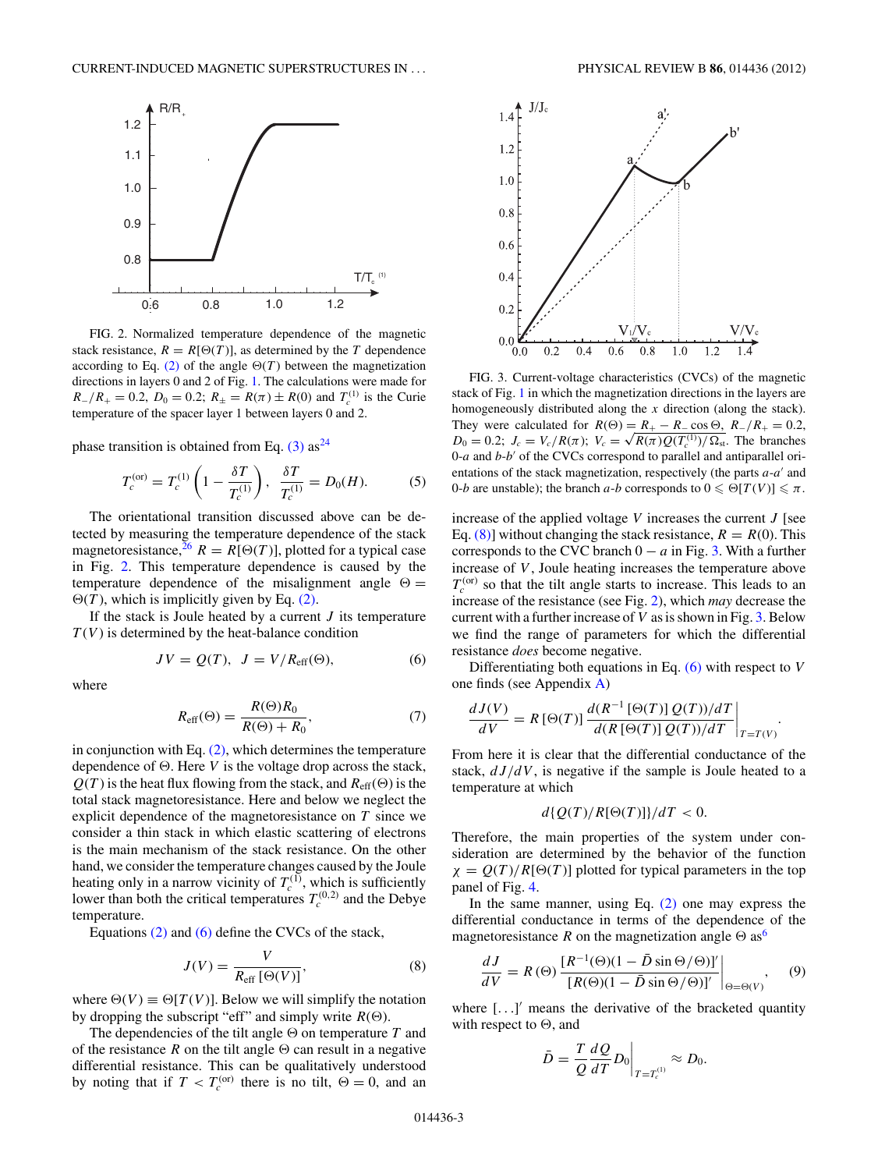<span id="page-3-0"></span>

FIG. 2. Normalized temperature dependence of the magnetic stack resistance,  $R = R[\Theta(T)]$ , as determined by the *T* dependence according to Eq. [\(2\)](#page-2-0) of the angle  $\Theta(T)$  between the magnetization directions in layers 0 and 2 of Fig. [1.](#page-2-0) The calculations were made for  $R_{-}/R_{+} = 0.2$ ,  $D_0 = 0.2$ ;  $R_{\pm} = R(\pi) \pm R(0)$  and  $T_c^{(1)}$  is the Curie temperature of the spacer layer 1 between layers 0 and 2.

phase transition is obtained from Eq.  $(3)$  as<sup>[24](#page-8-0)</sup>

$$
T_c^{(\text{or})} = T_c^{(1)} \left( 1 - \frac{\delta T}{T_c^{(1)}} \right), \quad \frac{\delta T}{T_c^{(1)}} = D_0(H). \tag{5}
$$

The orientational transition discussed above can be detected by measuring the temperature dependence of the stack magnetoresistance,  $^{26}$  $^{26}$  $^{26}$   $R = R[\Theta(T)]$ , plotted for a typical case in Fig. 2. This temperature dependence is caused by the temperature dependence of the misalignment angle  $\Theta =$  $\Theta(T)$ , which is implicitly given by Eq. [\(2\).](#page-2-0)

If the stack is Joule heated by a current *J* its temperature  $T(V)$  is determined by the heat-balance condition

$$
JV = Q(T), \ J = V/R_{\text{eff}}(\Theta), \tag{6}
$$

where

$$
R_{\text{eff}}(\Theta) = \frac{R(\Theta)R_0}{R(\Theta) + R_0},\tag{7}
$$

in conjunction with Eq.  $(2)$ , which determines the temperature dependence of  $\Theta$ . Here *V* is the voltage drop across the stack,  $Q(T)$  is the heat flux flowing from the stack, and  $R_{\text{eff}}(\Theta)$  is the total stack magnetoresistance. Here and below we neglect the explicit dependence of the magnetoresistance on *T* since we consider a thin stack in which elastic scattering of electrons is the main mechanism of the stack resistance. On the other hand, we consider the temperature changes caused by the Joule heating only in a narrow vicinity of  $T_c^{(1)}$ , which is sufficiently lower than both the critical temperatures  $T_c^{(0,2)}$  and the Debye temperature.

Equations [\(2\)](#page-2-0) and (6) define the CVCs of the stack,

$$
J(V) = \frac{V}{R_{\text{eff}}\left[\Theta(V)\right]},\tag{8}
$$

where  $\Theta(V) \equiv \Theta[T(V)]$ . Below we will simplify the notation by dropping the subscript "eff" and simply write  $R(\Theta)$ .

The dependencies of the tilt angle  $\Theta$  on temperature  $T$  and of the resistance  $R$  on the tilt angle  $\Theta$  can result in a negative differential resistance. This can be qualitatively understood by noting that if  $T < T_c^{(or)}$  there is no tilt,  $\Theta = 0$ , and an



FIG. 3. Current-voltage characteristics (CVCs) of the magnetic stack of Fig. [1](#page-2-0) in which the magnetization directions in the layers are homogeneously distributed along the *x* direction (along the stack). They were calculated for  $R(\Theta) = R_+ - R_-\cos\Theta$ ,  $R_-/R_+ = 0.2$ , *D*<sub>0</sub> = 0.2; *J<sub>c</sub>* = *V<sub>c</sub>*/*R*(*π*); *V<sub>c</sub>* =  $\sqrt{R(\pi)}Q(T_c^{(1)})/\Omega_{st}$ . The branches  $0-a$  and  $b-b'$  of the CVCs correspond to parallel and antiparallel orientations of the stack magnetization, respectively (the parts *a-a'* and 0*-b* are unstable); the branch *a-b* corresponds to  $0 \le \Theta[T(V)] \le \pi$ .

increase of the applied voltage *V* increases the current *J* [see Eq. (8)] without changing the stack resistance,  $R = R(0)$ . This corresponds to the CVC branch  $0 - a$  in Fig. 3. With a further increase of *V* , Joule heating increases the temperature above  $T_c^{(or)}$  so that the tilt angle starts to increase. This leads to an increase of the resistance (see Fig. 2), which *may* decrease the current with a further increase of *V* as is shown in Fig. 3. Below we find the range of parameters for which the differential resistance *does* become negative.

Differentiating both equations in Eq. (6) with respect to *V* one finds (see Appendix [A\)](#page-7-0)

$$
\frac{dJ(V)}{dV} = R\left[\Theta(T)\right] \frac{d(R^{-1}\left[\Theta(T)\right]Q(T))/dT}{d(R\left[\Theta(T)\right]Q(T))/dT}\bigg|_{T=T(V)}.
$$

From here it is clear that the differential conductance of the stack, *dJ/dV* , is negative if the sample is Joule heated to a temperature at which

$$
d\{Q(T)/R[\Theta(T)]\}/dT < 0.
$$

Therefore, the main properties of the system under consideration are determined by the behavior of the function  $\chi = Q(T)/R[\Theta(T)]$  plotted for typical parameters in the top panel of Fig. [4.](#page-4-0)

In the same manner, using Eq.  $(2)$  one may express the differential conductance in terms of the dependence of the magnetoresistance R on the magnetization angle  $\Theta$  as<sup>[6](#page-8-0)</sup>

$$
\frac{dJ}{dV} = R(\Theta) \frac{[R^{-1}(\Theta)(1 - \bar{D}\sin\Theta/\Theta)]'}{[R(\Theta)(1 - \bar{D}\sin\Theta/\Theta)]'}\Big|_{\Theta = \Theta(V)},\quad (9)
$$

where [...]' means the derivative of the bracketed quantity with respect to  $\Theta$ , and

$$
\bar{D} = \left. \frac{T}{Q} \frac{dQ}{dT} D_0 \right|_{T = T_c^{(1)}} \approx D_0.
$$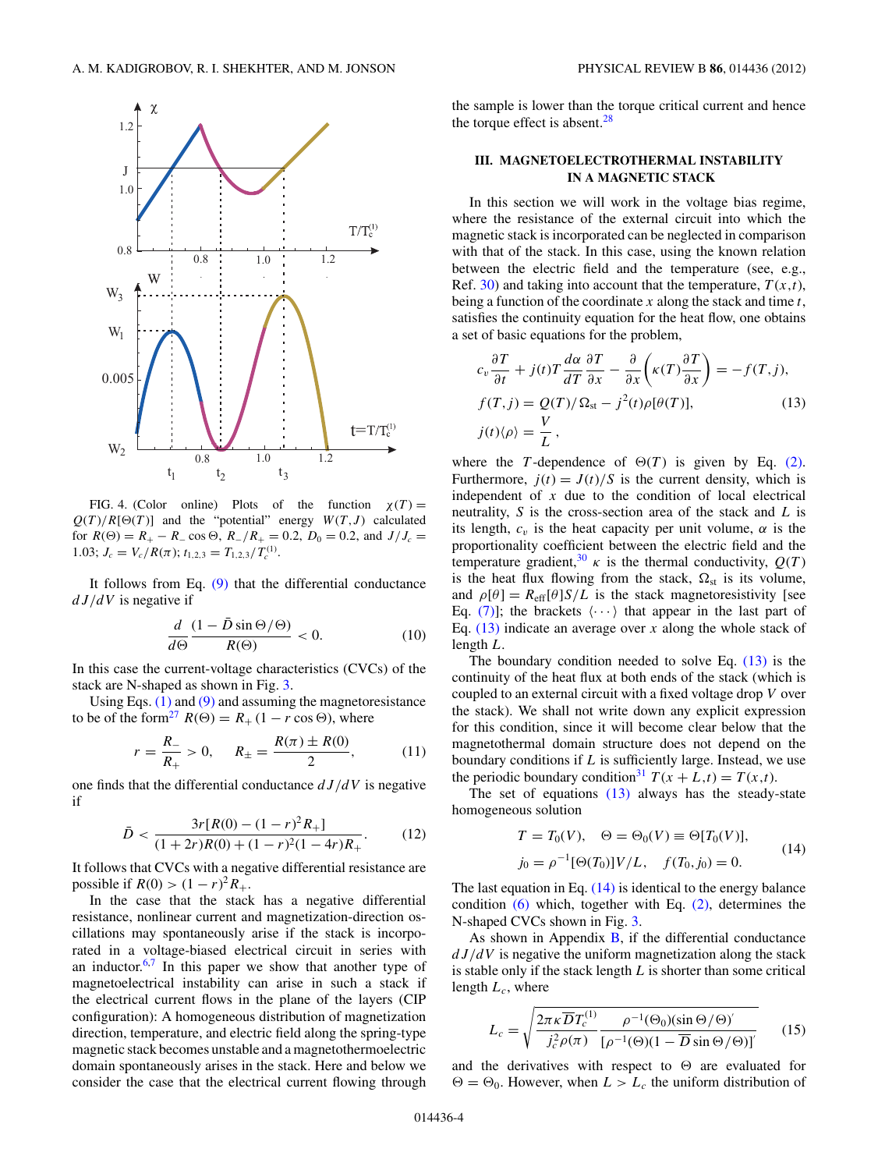<span id="page-4-0"></span>

FIG. 4. (Color online) Plots of the function  $\chi(T) =$  $Q(T)/R[\Theta(T)]$  and the "potential" energy  $W(T, J)$  calculated for  $R(\Theta) = R_+ - R_- \cos \Theta$ ,  $R_-/R_+ = 0.2$ ,  $D_0 = 0.2$ , and  $J/J_c =$ 1.03;  $J_c = V_c/R(\pi)$ ;  $t_{1,2,3} = T_{1,2,3}/T_c^{(1)}$ .

It follows from Eq.  $(9)$  that the differential conductance *dJ/dV* is negative if

$$
\frac{d}{d\Theta} \frac{(1 - \bar{D}\sin\Theta/\Theta)}{R(\Theta)} < 0. \tag{10}
$$

In this case the current-voltage characteristics (CVCs) of the stack are N-shaped as shown in Fig. [3.](#page-3-0)

Using Eqs.  $(1)$  and  $(9)$  and assuming the magnetoresistance to be of the form<sup>27</sup>  $R(\Theta) = R_+ (1 - r \cos \Theta)$ , where

$$
r = \frac{R_{-}}{R_{+}} > 0, \quad R_{\pm} = \frac{R(\pi) \pm R(0)}{2}, \quad (11)
$$

one finds that the differential conductance *dJ/dV* is negative if

$$
\bar{D} < \frac{3r[R(0) - (1 - r)^2 R_+]}{(1 + 2r)R(0) + (1 - r)^2 (1 - 4r)R_+}.\tag{12}
$$

It follows that CVCs with a negative differential resistance are possible if  $R(0) > (1 - r)^2 R_+$ .

In the case that the stack has a negative differential resistance, nonlinear current and magnetization-direction oscillations may spontaneously arise if the stack is incorporated in a voltage-biased electrical circuit in series with an inductor.<sup>[6,7](#page-8-0)</sup> In this paper we show that another type of magnetoelectrical instability can arise in such a stack if the electrical current flows in the plane of the layers (CIP configuration): A homogeneous distribution of magnetization direction, temperature, and electric field along the spring-type magnetic stack becomes unstable and a magnetothermoelectric domain spontaneously arises in the stack. Here and below we consider the case that the electrical current flowing through the sample is lower than the torque critical current and hence the torque effect is absent. $28$ 

#### **III. MAGNETOELECTROTHERMAL INSTABILITY IN A MAGNETIC STACK**

In this section we will work in the voltage bias regime, where the resistance of the external circuit into which the magnetic stack is incorporated can be neglected in comparison with that of the stack. In this case, using the known relation between the electric field and the temperature (see, e.g., Ref. [30\)](#page-8-0) and taking into account that the temperature,  $T(x,t)$ , being a function of the coordinate *x* along the stack and time *t*, satisfies the continuity equation for the heat flow, one obtains a set of basic equations for the problem,

$$
c_v \frac{\partial T}{\partial t} + j(t)T \frac{d\alpha}{dT} \frac{\partial T}{\partial x} - \frac{\partial}{\partial x} \left( \kappa(T) \frac{\partial T}{\partial x} \right) = -f(T, j),
$$
  
\n
$$
f(T, j) = Q(T)/\Omega_{st} - j^2(t)\rho[\theta(T)],
$$
  
\n
$$
j(t)\langle \rho \rangle = \frac{V}{L},
$$
\n(13)

where the *T*-dependence of  $\Theta(T)$  is given by Eq. [\(2\).](#page-2-0) Furthermore,  $j(t) = J(t)/S$  is the current density, which is independent of *x* due to the condition of local electrical neutrality, *S* is the cross-section area of the stack and *L* is its length,  $c_v$  is the heat capacity per unit volume,  $\alpha$  is the proportionality coefficient between the electric field and the temperature gradient,<sup>30</sup>  $\kappa$  is the thermal conductivity,  $Q(T)$ is the heat flux flowing from the stack,  $\Omega_{st}$  is its volume, and  $\rho[\theta] = R_{\text{eff}}[\theta] S/L$  is the stack magnetoresistivity [see Eq. [\(7\)\]](#page-3-0); the brackets  $\langle \cdots \rangle$  that appear in the last part of Eq. (13) indicate an average over *x* along the whole stack of length *L*.

The boundary condition needed to solve Eq. (13) is the continuity of the heat flux at both ends of the stack (which is coupled to an external circuit with a fixed voltage drop *V* over the stack). We shall not write down any explicit expression for this condition, since it will become clear below that the magnetothermal domain structure does not depend on the boundary conditions if *L* is sufficiently large. Instead, we use the periodic boundary condition<sup>31</sup>  $T(x + L,t) = T(x,t)$ .

The set of equations  $(13)$  always has the steady-state homogeneous solution

$$
T = T_0(V), \quad \Theta = \Theta_0(V) \equiv \Theta[T_0(V)],
$$
  
\n
$$
j_0 = \rho^{-1}[\Theta(T_0)]V/L, \quad f(T_0, j_0) = 0.
$$
 (14)

The last equation in Eq. (14) is identical to the energy balance condition  $(6)$  which, together with Eq.  $(2)$ , determines the N-shaped CVCs shown in Fig. [3.](#page-3-0)

As shown in Appendix  $\bf{B}$ , if the differential conductance *dJ/dV* is negative the uniform magnetization along the stack is stable only if the stack length *L* is shorter than some critical length  $L_c$ , where

$$
L_c = \sqrt{\frac{2\pi\kappa\overline{D}T_c^{(1)}}{j_c^2\rho(\pi)}\frac{\rho^{-1}(\Theta_0)(\sin\Theta/\Theta)'}{[\rho^{-1}(\Theta)(1-\overline{D}\sin\Theta/\Theta)]'}}
$$
(15)

and the derivatives with respect to  $\Theta$  are evaluated for  $\Theta = \Theta_0$ . However, when  $L > L_c$  the uniform distribution of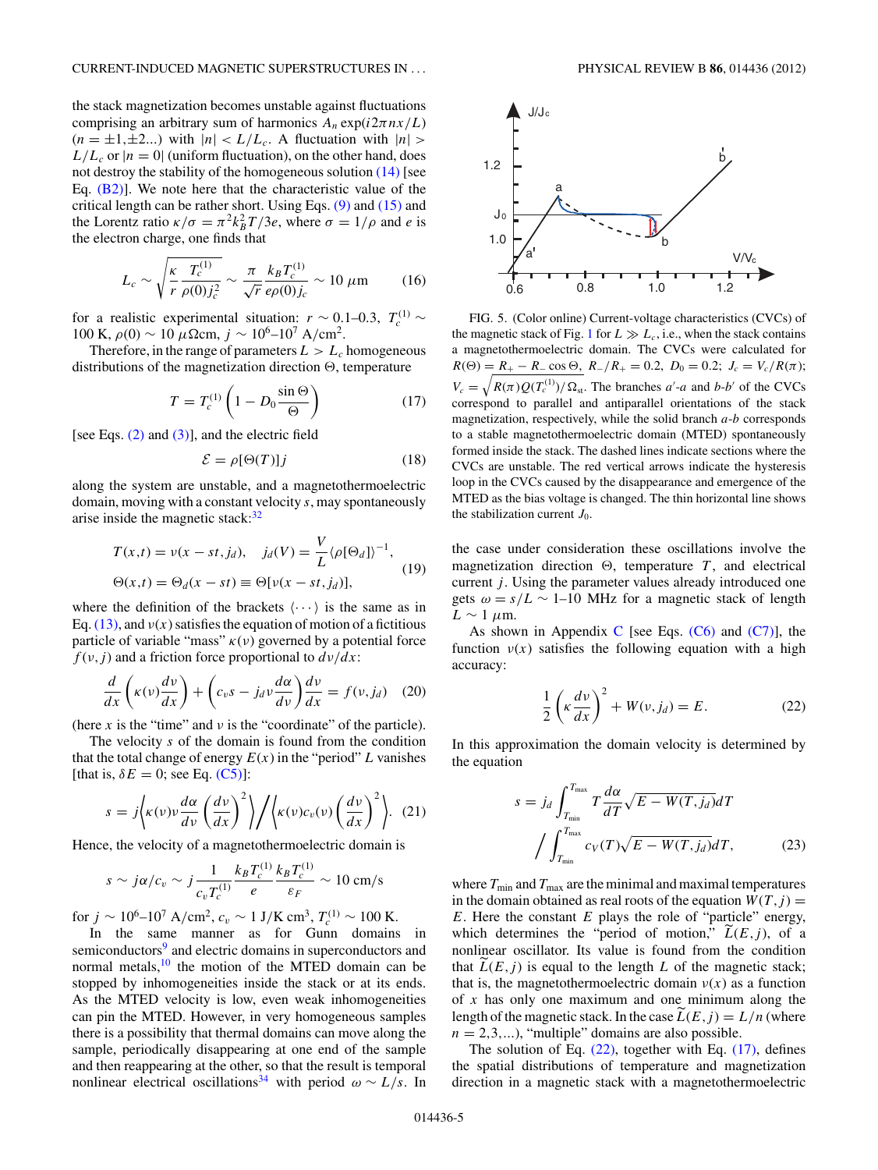<span id="page-5-0"></span>the stack magnetization becomes unstable against fluctuations comprising an arbitrary sum of harmonics  $A_n \exp(i2\pi nx/L)$  $(n = \pm 1, \pm 2...)$  with  $|n| < L/L_c$ . A fluctuation with  $|n| >$  $L/L_c$  or  $|n = 0|$  (uniform fluctuation), on the other hand, does not destroy the stability of the homogeneous solution [\(14\)](#page-4-0) [see Eq.  $(B2)$ ]. We note here that the characteristic value of the critical length can be rather short. Using Eqs. [\(9\)](#page-3-0) and [\(15\)](#page-4-0) and the Lorentz ratio  $\kappa/\sigma = \pi^2 k_B^2 T/3e$ , where  $\sigma = 1/\rho$  and *e* is the electron charge, one finds that

$$
L_c \sim \sqrt{\frac{\kappa}{r} \frac{T_c^{(1)}}{\rho(0) j_c^2}} \sim \frac{\pi}{\sqrt{r}} \frac{k_B T_c^{(1)}}{e \rho(0) j_c} \sim 10 \ \mu \text{m}
$$
 (16)

for a realistic experimental situation:  $r \sim 0.1-0.3$ ,  $T_c^{(1)} \sim$ 100 K,  $ρ(0)$  ~ 10  $μ$ Ωcm,  $j$  ~ 10<sup>6</sup>–10<sup>7</sup> A/cm<sup>2</sup>.

Therefore, in the range of parameters  $L > L_c$  homogeneous distributions of the magnetization direction  $\Theta$ , temperature

$$
T = T_c^{(1)} \left( 1 - D_0 \frac{\sin \Theta}{\Theta} \right) \tag{17}
$$

[see Eqs. [\(2\)](#page-2-0) and [\(3\)\]](#page-2-0), and the electric field

$$
\mathcal{E} = \rho[\Theta(T)]j \tag{18}
$$

along the system are unstable, and a magnetothermoelectric domain, moving with a constant velocity *s*, may spontaneously arise inside the magnetic stack: $32$ 

$$
T(x,t) = v(x - st, j_d), \quad j_d(V) = \frac{V}{L} \langle \rho[\Theta_d] \rangle^{-1},
$$
  

$$
\Theta(x,t) = \Theta_d(x - st) \equiv \Theta[v(x - st, j_d)], \quad (19)
$$

where the definition of the brackets  $\langle \cdots \rangle$  is the same as in Eq.  $(13)$ , and  $v(x)$  satisfies the equation of motion of a fictitious particle of variable "mass"  $\kappa(\nu)$  governed by a potential force  $f(v, j)$  and a friction force proportional to  $dv/dx$ :

$$
\frac{d}{dx}\left(\kappa(v)\frac{dv}{dx}\right) + \left(c_v s - j_d v \frac{d\alpha}{dv}\right)\frac{dv}{dx} = f(v, j_d) \quad (20)
$$

(here *x* is the "time" and  $\nu$  is the "coordinate" of the particle).

The velocity *s* of the domain is found from the condition that the total change of energy  $E(x)$  in the "period" *L* vanishes [that is,  $\delta E = 0$ ; see Eq. [\(C5\)\]](#page-8-0):

$$
s = j \left\langle \kappa(v) v \frac{d\alpha}{dv} \left(\frac{dv}{dx}\right)^2 \right\rangle / \left\langle \kappa(v) c_v(v) \left(\frac{dv}{dx}\right)^2 \right\rangle. (21)
$$

Hence, the velocity of a magnetothermoelectric domain is

$$
s \sim j\alpha/c_v \sim j\frac{1}{c_v T_c^{(1)}} \frac{k_B T_c^{(1)}}{e} \frac{k_B T_c^{(1)}}{\varepsilon_F} \sim 10 \text{ cm/s}
$$

for  $j \sim 10^6 \text{--} 10^7 \text{ A/cm}^2$ ,  $c_v \sim 1 \text{ J/K cm}^3$ ,  $T_c^{(1)} \sim 100 \text{ K}$ .

In the same manner as for Gunn domains in semiconductors<sup>[9](#page-8-0)</sup> and electric domains in superconductors and normal metals,<sup>10</sup> the motion of the MTED domain can be stopped by inhomogeneities inside the stack or at its ends. As the MTED velocity is low, even weak inhomogeneities can pin the MTED. However, in very homogeneous samples there is a possibility that thermal domains can move along the sample, periodically disappearing at one end of the sample and then reappearing at the other, so that the result is temporal nonlinear electrical oscillations<sup>[34](#page-9-0)</sup> with period  $\omega \sim L/s$ . In



FIG. 5. (Color online) Current-voltage characteristics (CVCs) of the magnetic stack of Fig. [1](#page-2-0) for  $L \gg L_c$ , i.e., when the stack contains a magnetothermoelectric domain. The CVCs were calculated for  $R(\Theta) = R_+ - R_-\cos\Theta$ ,  $R_-/R_+ = 0.2$ ,  $D_0 = 0.2$ ;  $J_c = V_c/R(\pi)$ ;  $V_c = \sqrt{R(\pi)Q(T_c^{(1)})/\Omega_{\rm st}}$ . The branches *a*'-*a* and *b*-*b*' of the CVCs correspond to parallel and antiparallel orientations of the stack magnetization, respectively, while the solid branch *a*-*b* corresponds to a stable magnetothermoelectric domain (MTED) spontaneously formed inside the stack. The dashed lines indicate sections where the CVCs are unstable. The red vertical arrows indicate the hysteresis loop in the CVCs caused by the disappearance and emergence of the MTED as the bias voltage is changed. The thin horizontal line shows the stabilization current  $J_0$ .

the case under consideration these oscillations involve the magnetization direction  $\Theta$ , temperature  $T$ , and electrical current *j*. Using the parameter values already introduced one gets  $\omega = s/L \sim 1$ –10 MHz for a magnetic stack of length  $L \sim 1 \mu$ m.

As shown in Appendix [C](#page-7-0) [see Eqs.  $(C6)$  and  $(C7)$ ], the function  $v(x)$  satisfies the following equation with a high accuracy:

$$
\frac{1}{2}\left(\kappa \frac{dv}{dx}\right)^2 + W(v, j_d) = E. \tag{22}
$$

In this approximation the domain velocity is determined by the equation

$$
s = j_d \int_{T_{\min}}^{T_{\max}} T \frac{d\alpha}{dT} \sqrt{E - W(T, j_d)} dT
$$

$$
\int_{T_{\min}}^{T_{\max}} c_V(T) \sqrt{E - W(T, j_d)} dT, \qquad (23)
$$

where  $T_{\text{min}}$  and  $T_{\text{max}}$  are the minimal and maximal temperatures in the domain obtained as real roots of the equation  $W(T, j) =$ *E*. Here the constant *E* plays the role of "particle" energy, which determines the "period of motion,"  $L(E, j)$ , of a nonlinear oscillator. Its value is found from the condition that  $L(E, j)$  is equal to the length  $L$  of the magnetic stack; that is, the magnetothermoelectric domain  $v(x)$  as a function of *x* has only one maximum and one minimum along the length of the magnetic stack. In the case  $\tilde{L}(E, j) = L/n$  (where  $n = 2,3,...$ , "multiple" domains are also possible.

The solution of Eq.  $(22)$ , together with Eq.  $(17)$ , defines the spatial distributions of temperature and magnetization direction in a magnetic stack with a magnetothermoelectric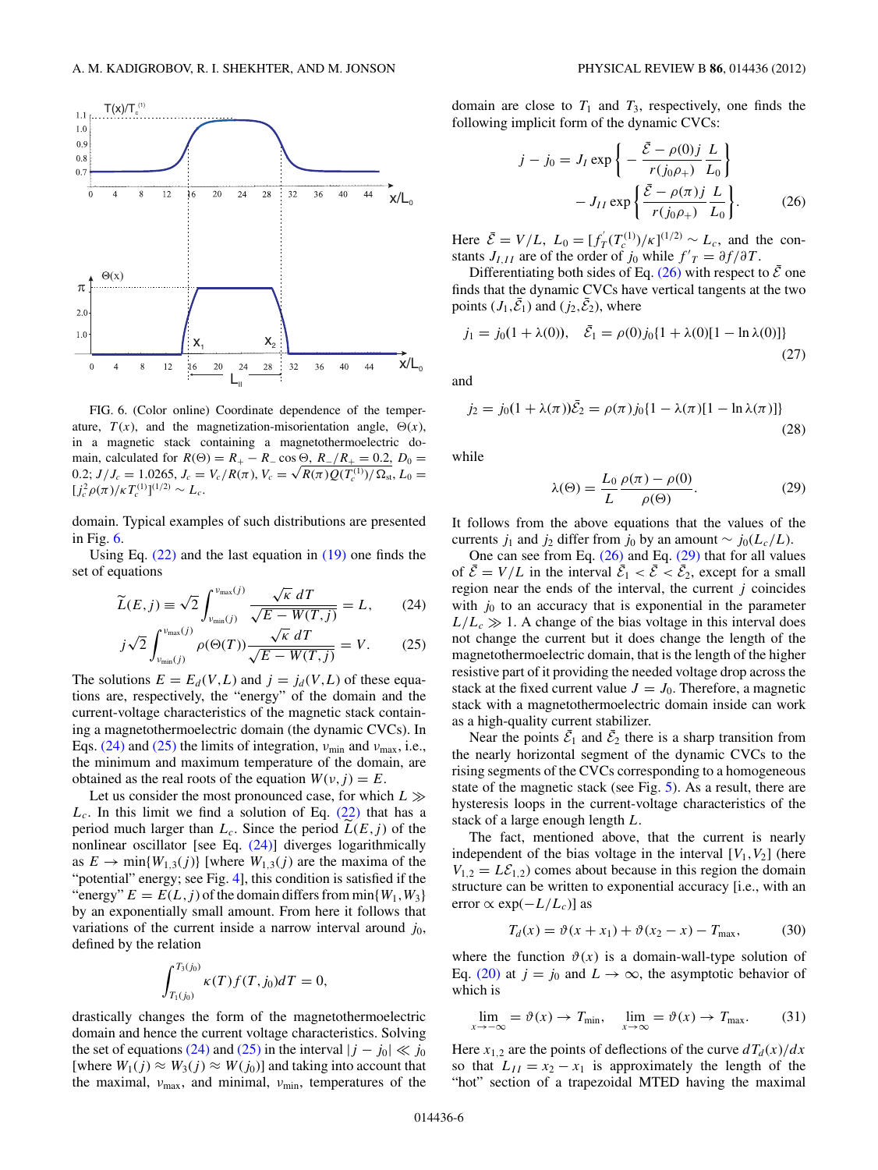<span id="page-6-0"></span>

FIG. 6. (Color online) Coordinate dependence of the temperature,  $T(x)$ , and the magnetization-misorientation angle,  $\Theta(x)$ , in a magnetic stack containing a magnetothermoelectric domain, calculated for  $R(\Theta) = R_+ - R_-\cos\Theta$ ,  $R_-/R_+ = 0.2$ ,  $D_0 =$ main, calculated for  $R(\Theta) = R_+ - R_- \cos \Theta$ ,  $R_- / R_+ = 0.2$ ,  $D_0 = 0.2$ ;  $J/J_c = 1.0265$ ,  $J_c = V_c / R(\pi)$ ,  $V_c = \sqrt{R(\pi) Q(T_c^{(1)}) / \Omega_{\rm st}}$ ,  $L_0 =$  $[j_c^2 \rho(\pi)/\kappa T_c^{(1)}]^{(1/2)} \sim L_c.$ 

domain. Typical examples of such distributions are presented in Fig. 6.

Using Eq.  $(22)$  and the last equation in  $(19)$  one finds the set of equations

$$
\widetilde{L}(E,j) \equiv \sqrt{2} \int_{v_{\text{min}}(j)}^{v_{\text{max}}(j)} \frac{\sqrt{\kappa} \, dT}{\sqrt{E - W(T,j)}} = L,\qquad(24)
$$

$$
j\sqrt{2} \int_{v_{\text{min}}(j)}^{v_{\text{max}}(j)} \rho(\Theta(T)) \frac{\sqrt{\kappa} \ dT}{\sqrt{E - W(T, j)}} = V. \tag{25}
$$

The solutions  $E = E_d(V, L)$  and  $j = j_d(V, L)$  of these equations are, respectively, the "energy" of the domain and the current-voltage characteristics of the magnetic stack containing a magnetothermoelectric domain (the dynamic CVCs). In Eqs. (24) and (25) the limits of integration,  $v_{\text{min}}$  and  $v_{\text{max}}$ , i.e., the minimum and maximum temperature of the domain, are obtained as the real roots of the equation  $W(v, j) = E$ .

Let us consider the most pronounced case, for which *L*  $L_c$ . In this limit we find a solution of Eq.  $(22)$  that has a period much larger than  $L_c$ . Since the period  $L(E, j)$  of the nonlinear oscillator [see Eq. (24)] diverges logarithmically as  $E \to \min\{W_{1,3}(j)\}\$  [where  $W_{1,3}(j)$  are the maxima of the "potential" energy; see Fig. [4\]](#page-4-0), this condition is satisfied if the "energy"  $E = E(L, j)$  of the domain differs from min $\{W_1, W_3\}$ by an exponentially small amount. From here it follows that variations of the current inside a narrow interval around  $j_0$ , defined by the relation

$$
\int_{T_1(j_0)}^{T_3(j_0)} \kappa(T) f(T, j_0) dT = 0,
$$

drastically changes the form of the magnetothermoelectric domain and hence the current voltage characteristics. Solving the set of equations (24) and (25) in the interval  $|j - j_0| \ll j_0$ [where  $W_1(j) \approx W_3(j) \approx W(j_0)$ ] and taking into account that the maximal, *ν*<sub>max</sub>, and minimal, *ν*<sub>min</sub>, temperatures of the

domain are close to  $T_1$  and  $T_3$ , respectively, one finds the following implicit form of the dynamic CVCs:

$$
j - j_0 = J_I \exp\left\{-\frac{\bar{\mathcal{E}} - \rho(0)j}{r(j_0\rho_+)} \frac{L}{L_0}\right\}
$$

$$
-J_{II} \exp\left\{\frac{\bar{\mathcal{E}} - \rho(\pi)j}{r(j_0\rho_+)} \frac{L}{L_0}\right\}.
$$
(26)

Here  $\bar{\mathcal{E}} = V/L$ ,  $L_0 = [f'_T(T_c^{(1)})/K]^{(1/2)} \sim L_c$ , and the constants *J*<sub>*I,I*</sub> are of the order of *j*<sub>0</sub> while  $f'_{T} = \partial f / \partial T$ .

Differentiating both sides of Eq. (26) with respect to  $\bar{\mathcal{E}}$  one finds that the dynamic CVCs have vertical tangents at the two points  $(J_1, \bar{\mathcal{E}}_1)$  and  $(j_2, \bar{\mathcal{E}}_2)$ , where

$$
j_1 = j_0(1 + \lambda(0)), \quad \bar{\mathcal{E}}_1 = \rho(0)j_0\{1 + \lambda(0)[1 - \ln \lambda(0)]\}
$$
\n(27)

and

$$
j_2 = j_0(1 + \lambda(\pi))\bar{\mathcal{E}}_2 = \rho(\pi)j_0\{1 - \lambda(\pi)[1 - \ln \lambda(\pi)]\}
$$
\n(28)

while

$$
\lambda(\Theta) = \frac{L_0}{L} \frac{\rho(\pi) - \rho(0)}{\rho(\Theta)}.
$$
\n(29)

It follows from the above equations that the values of the currents *j*<sub>1</sub> and *j*<sub>2</sub> differ from *j*<sub>0</sub> by an amount ∼ *j*<sub>0</sub>( $L_c/L$ ).

One can see from Eq.  $(26)$  and Eq.  $(29)$  that for all values of  $\bar{\mathcal{E}} = V/L$  in the interval  $\bar{\mathcal{E}}_1 < \bar{\mathcal{E}} < \bar{\mathcal{E}}_2$ , except for a small region near the ends of the interval, the current *j* coincides with  $j_0$  to an accuracy that is exponential in the parameter  $L/L_c \gg 1$ . A change of the bias voltage in this interval does not change the current but it does change the length of the magnetothermoelectric domain, that is the length of the higher resistive part of it providing the needed voltage drop across the stack at the fixed current value  $J = J_0$ . Therefore, a magnetic stack with a magnetothermoelectric domain inside can work as a high-quality current stabilizer.

Near the points  $\bar{\mathcal{E}}_1$  and  $\bar{\mathcal{E}}_2$  there is a sharp transition from the nearly horizontal segment of the dynamic CVCs to the rising segments of the CVCs corresponding to a homogeneous state of the magnetic stack (see Fig. [5\)](#page-5-0). As a result, there are hysteresis loops in the current-voltage characteristics of the stack of a large enough length *L*.

The fact, mentioned above, that the current is nearly independent of the bias voltage in the interval  $[V_1, V_2]$  (here  $V_{1,2} = L\mathcal{E}_{1,2}$  comes about because in this region the domain structure can be written to exponential accuracy [i.e., with an error ∝ exp(−*L/Lc*)] as

$$
T_d(x) = \vartheta(x + x_1) + \vartheta(x_2 - x) - T_{\text{max}},
$$
 (30)

where the function  $\vartheta(x)$  is a domain-wall-type solution of Eq. [\(20\)](#page-5-0) at  $j = j_0$  and  $L \rightarrow \infty$ , the asymptotic behavior of which is

$$
\lim_{x \to -\infty} = \vartheta(x) \to T_{\min}, \quad \lim_{x \to \infty} = \vartheta(x) \to T_{\max}.
$$
 (31)

Here  $x_{1,2}$  are the points of deflections of the curve  $dT_d(x)/dx$ so that  $L_{II} = x_2 - x_1$  is approximately the length of the "hot" section of a trapezoidal MTED having the maximal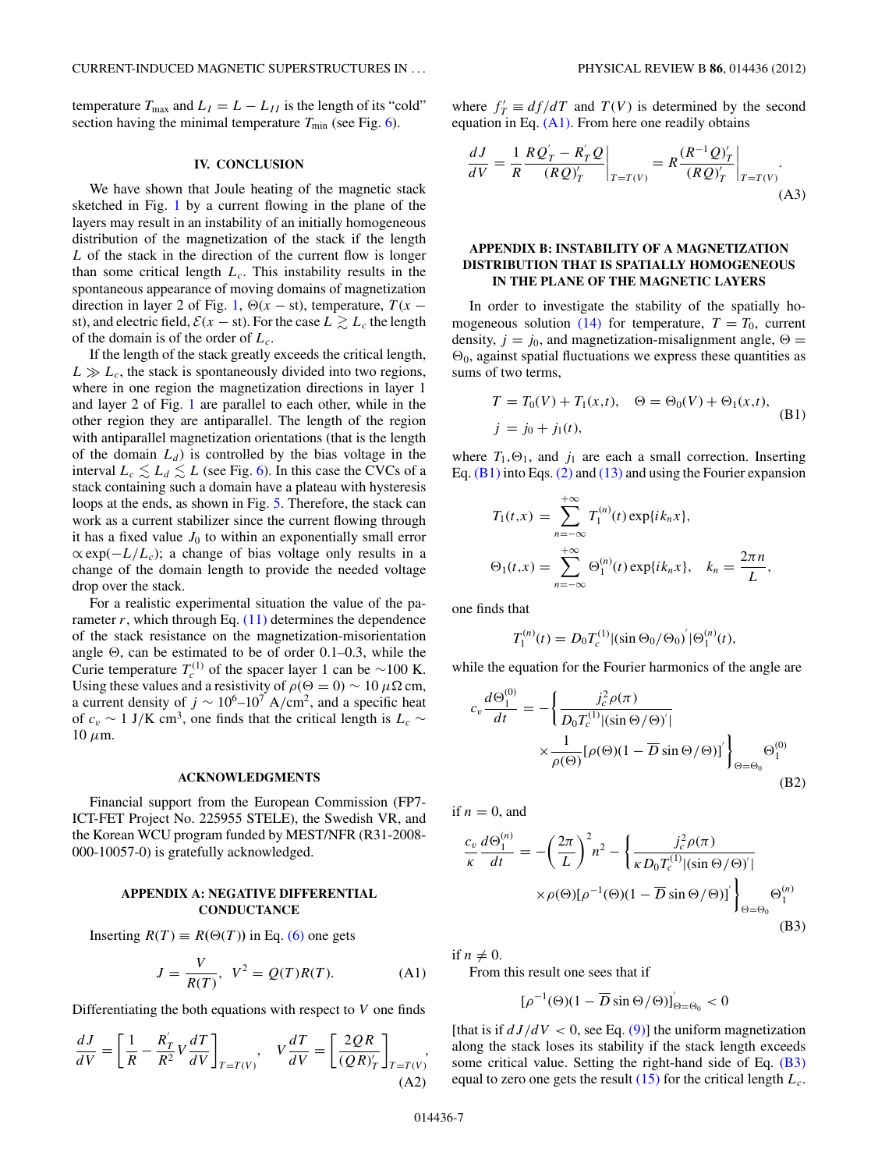<span id="page-7-0"></span>temperature  $T_{\text{max}}$  and  $L_I = L - L_{II}$  is the length of its "cold" section having the minimal temperature  $T_{\text{min}}$  (see Fig. [6\)](#page-6-0).

#### **IV. CONCLUSION**

We have shown that Joule heating of the magnetic stack sketched in Fig. [1](#page-2-0) by a current flowing in the plane of the layers may result in an instability of an initially homogeneous distribution of the magnetization of the stack if the length *L* of the stack in the direction of the current flow is longer than some critical length  $L_c$ . This instability results in the spontaneous appearance of moving domains of magnetization direction in layer 2 of Fig. [1,](#page-2-0)  $\Theta(x - st)$ , temperature,  $T(x - t)$ st), and electric field,  $\mathcal{E}(x - st)$ . For the case  $L \gtrsim L_c$  the length of the domain is of the order of *Lc*.

If the length of the stack greatly exceeds the critical length,  $L \gg L_c$ , the stack is spontaneously divided into two regions, where in one region the magnetization directions in layer 1 and layer 2 of Fig. [1](#page-2-0) are parallel to each other, while in the other region they are antiparallel. The length of the region with antiparallel magnetization orientations (that is the length of the domain  $L_d$ ) is controlled by the bias voltage in the interval  $L_c \lesssim L_d \lesssim L$  (see Fig. [6\)](#page-6-0). In this case the CVCs of a stack containing such a domain have a plateau with hysteresis loops at the ends, as shown in Fig. [5.](#page-5-0) Therefore, the stack can work as a current stabilizer since the current flowing through it has a fixed value  $J_0$  to within an exponentially small error  $\propto \exp(-L/L_c)$ ; a change of bias voltage only results in a change of the domain length to provide the needed voltage drop over the stack.

For a realistic experimental situation the value of the parameter  $r$ , which through Eq.  $(11)$  determines the dependence of the stack resistance on the magnetization-misorientation angle  $\Theta$ , can be estimated to be of order 0.1–0.3, while the Curie temperature  $T_c^{(1)}$  of the spacer layer 1 can be ~100 K. Using these values and a resistivity of  $\rho(\Theta = 0) \sim 10 \mu \Omega \text{ cm}$ , a current density of  $j \sim 10^6$ – $10^7$  A/cm<sup>2</sup>, and a specific heat of  $c_v \sim 1$  J/K cm<sup>3</sup>, one finds that the critical length is  $L_c \sim$  $10 \mu m$ .

#### **ACKNOWLEDGMENTS**

Financial support from the European Commission (FP7- ICT-FET Project No. 225955 STELE), the Swedish VR, and the Korean WCU program funded by MEST/NFR (R31-2008- 000-10057-0) is gratefully acknowledged.

#### **APPENDIX A: NEGATIVE DIFFERENTIAL CONDUCTANCE**

Inserting  $R(T) \equiv R(\Theta(T))$  in Eq. [\(6\)](#page-3-0) one gets

$$
J = \frac{V}{R(T)}, \ V^2 = Q(T)R(T). \tag{A1}
$$

Differentiating the both equations with respect to *V* one finds

$$
\frac{dJ}{dV} = \left[\frac{1}{R} - \frac{R_T'}{R^2}V\frac{dT}{dV}\right]_{T=T(V)}, \quad V\frac{dT}{dV} = \left[\frac{2QR}{(QR)_T'}\right]_{T=T(V)},\tag{A2}
$$

where  $f'_T \equiv df/dT$  and  $T(V)$  is determined by the second equation in Eq. (A1). From here one readily obtains

$$
\frac{dJ}{dV} = \frac{1}{R} \frac{RQ'_T - R'_T Q}{(RQ)'_T}\bigg|_{T = T(V)} = R \frac{(R^{-1}Q)'_T}{(RQ)'_T}\bigg|_{T = T(V)}.
$$
\n(A3)

#### **APPENDIX B: INSTABILITY OF A MAGNETIZATION DISTRIBUTION THAT IS SPATIALLY HOMOGENEOUS IN THE PLANE OF THE MAGNETIC LAYERS**

In order to investigate the stability of the spatially ho-mogeneous solution [\(14\)](#page-4-0) for temperature,  $T = T_0$ , current density,  $j = j_0$ , and magnetization-misalignment angle,  $\Theta =$  $\Theta_0$ , against spatial fluctuations we express these quantities as sums of two terms,

$$
T = T_0(V) + T_1(x,t), \quad \Theta = \Theta_0(V) + \Theta_1(x,t),
$$
  
\n
$$
j = j_0 + j_1(t),
$$
 (B1)

where  $T_1, \Theta_1$ , and  $j_1$  are each a small correction. Inserting Eq. (B1) into Eqs. [\(2\)](#page-2-0) and [\(13\)](#page-4-0) and using the Fourier expansion

$$
T_1(t,x) = \sum_{n=-\infty}^{+\infty} T_1^{(n)}(t) \exp\{ik_n x\},
$$
  
\n
$$
\Theta_1(t,x) = \sum_{n=-\infty}^{+\infty} \Theta_1^{(n)}(t) \exp\{ik_n x\}, \quad k_n = \frac{2\pi n}{L},
$$

one finds that

$$
T_1^{(n)}(t) = D_0 T_c^{(1)} |(\sin \Theta_0 / \Theta_0)' | \Theta_1^{(n)}(t),
$$

while the equation for the Fourier harmonics of the angle are

$$
c_v \frac{d\Theta_1^{(0)}}{dt} = -\left\{ \frac{j_c^2 \rho(\pi)}{D_0 T_c^{(1)} |(\sin \Theta/\Theta)'|} \times \frac{1}{\rho(\Theta)} [\rho(\Theta)(1 - \overline{D} \sin \Theta/\Theta)]' \right\}_{\Theta = \Theta_0} \Theta_1^{(0)}
$$
(B2)

if  $n = 0$ , and

$$
\frac{c_v}{\kappa} \frac{d\Theta_1^{(n)}}{dt} = -\left(\frac{2\pi}{L}\right)^2 n^2 - \left\{\frac{j_c^2 \rho(\pi)}{\kappa D_0 T_c^{(1)} |(\sin \Theta/\Theta)|}\right\}
$$

$$
\times \rho(\Theta) [\rho^{-1}(\Theta)(1 - \overline{D} \sin \Theta/\Theta)]' \Bigg\}_{\Theta = \Theta_0} \Theta_1^{(n)}
$$
(B3)

if  $n \neq 0$ .

From this result one sees that if

$$
[\rho^{-1}(\Theta)(1-\overline{D}\sin\Theta/\Theta)]'_{\Theta=\Theta_0} < 0
$$

[that is if  $dJ/dV < 0$ , see Eq. [\(9\)\]](#page-3-0) the uniform magnetization along the stack loses its stability if the stack length exceeds some critical value. Setting the right-hand side of Eq. (B3) equal to zero one gets the result [\(15\)](#page-4-0) for the critical length *Lc*.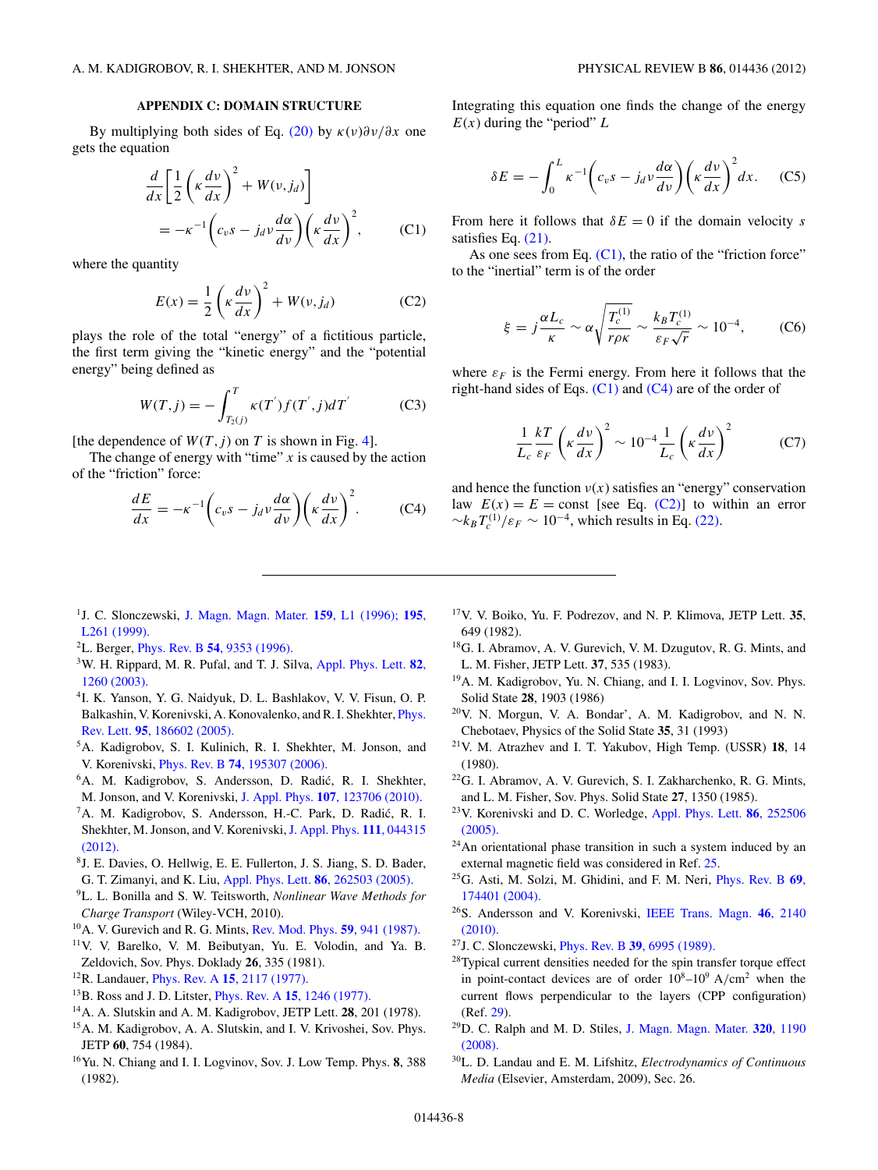# **APPENDIX C: DOMAIN STRUCTURE**

<span id="page-8-0"></span>By multiplying both sides of Eq. [\(20\)](#page-5-0) by *κ*(*ν*)*∂ν/∂x* one gets the equation

$$
\frac{d}{dx} \left[ \frac{1}{2} \left( \kappa \frac{dv}{dx} \right)^2 + W(v, j_d) \right]
$$
\n
$$
= -\kappa^{-1} \left( c_v s - j_d v \frac{d\alpha}{dv} \right) \left( \kappa \frac{dv}{dx} \right)^2, \qquad (C1)
$$

where the quantity

$$
E(x) = \frac{1}{2} \left( \kappa \frac{dv}{dx} \right)^2 + W(v, j_d)
$$
 (C2)

plays the role of the total "energy" of a fictitious particle, the first term giving the "kinetic energy" and the "potential energy" being defined as

$$
W(T,j) = -\int_{T_2(j)}^{T} \kappa(T^{'}) f(T^{'}, j) dT^{'}
$$
 (C3)

[the dependence of  $W(T, j)$  on *T* is shown in Fig. [4\]](#page-4-0).

The change of energy with "time"  $x$  is caused by the action of the "friction" force:

$$
\frac{dE}{dx} = -\kappa^{-1} \left( c_v s - j_d v \frac{d\alpha}{dv} \right) \left( \kappa \frac{dv}{dx} \right)^2.
$$
 (C4)

Integrating this equation one finds the change of the energy  $E(x)$  during the "period"  $L$ 

$$
\delta E = -\int_0^L \kappa^{-1} \left( c_v s - j_d v \frac{d\alpha}{dv} \right) \left( \kappa \frac{dv}{dx} \right)^2 dx. \quad (C5)
$$

From here it follows that  $\delta E = 0$  if the domain velocity *s* satisfies Eq. [\(21\).](#page-5-0)

As one sees from Eq.  $(C1)$ , the ratio of the "friction force" to the "inertial" term is of the order

$$
\xi = j\frac{\alpha L_c}{\kappa} \sim \alpha \sqrt{\frac{T_c^{(1)}}{r\rho \kappa}} \sim \frac{k_B T_c^{(1)}}{\varepsilon_F \sqrt{r}} \sim 10^{-4},\tag{C6}
$$

where  $\varepsilon_F$  is the Fermi energy. From here it follows that the right-hand sides of Eqs.  $(C1)$  and  $(C4)$  are of the order of

$$
\frac{1}{L_c} \frac{kT}{\varepsilon_F} \left( \kappa \frac{dv}{dx} \right)^2 \sim 10^{-4} \frac{1}{L_c} \left( \kappa \frac{dv}{dx} \right)^2 \tag{C7}
$$

and hence the function  $v(x)$  satisfies an "energy" conservation law  $E(x) = E = \text{const}$  [see Eq. (C2)] to within an error  $\sim k_B T_c^{(1)}/\varepsilon_F \sim 10^{-4}$ , which results in Eq. [\(22\).](#page-5-0)

- 1J. C. Slonczewski, [J. Magn. Magn. Mater.](http://dx.doi.org/10.1016/0304-8853(96)00062-5) **159**, L1 (1996); **[195](http://dx.doi.org/10.1016/S0304-8853(99)00043-8)**, [L261 \(1999\).](http://dx.doi.org/10.1016/S0304-8853(99)00043-8)
- 2L. Berger, Phys. Rev. B **54**[, 9353 \(1996\).](http://dx.doi.org/10.1103/PhysRevB.54.9353)
- 3W. H. Rippard, M. R. Pufal, and T. J. Silva, [Appl. Phys. Lett.](http://dx.doi.org/10.1063/1.1556168) **82**, [1260 \(2003\).](http://dx.doi.org/10.1063/1.1556168)
- 4I. K. Yanson, Y. G. Naidyuk, D. L. Bashlakov, V. V. Fisun, O. P. Balkashin, V. Korenivski, A. Konovalenko, and R. I. Shekhter, [Phys.](http://dx.doi.org/10.1103/PhysRevLett.95.186602) Rev. Lett. **95**[, 186602 \(2005\).](http://dx.doi.org/10.1103/PhysRevLett.95.186602)
- 5A. Kadigrobov, S. I. Kulinich, R. I. Shekhter, M. Jonson, and V. Korenivski, Phys. Rev. B **74**[, 195307 \(2006\).](http://dx.doi.org/10.1103/PhysRevB.74.195307)
- <sup>6</sup>A. M. Kadigrobov, S. Andersson, D. Radić, R. I. Shekhter, M. Jonson, and V. Korenivski, J. Appl. Phys. **107**[, 123706 \(2010\).](http://dx.doi.org/10.1063/1.3437054)
- 7A. M. Kadigrobov, S. Andersson, H.-C. Park, D. Radic, R. I. ´ Shekhter, M. Jonson, and V. Korenivski, [J. Appl. Phys.](http://dx.doi.org/10.1063/1.3686735) 111, 044315 [\(2012\).](http://dx.doi.org/10.1063/1.3686735)
- 8J. E. Davies, O. Hellwig, E. E. Fullerton, J. S. Jiang, S. D. Bader, G. T. Zimanyi, and K. Liu, [Appl. Phys. Lett.](http://dx.doi.org/10.1063/1.1954898) **86**, 262503 (2005).
- 9L. L. Bonilla and S. W. Teitsworth, *Nonlinear Wave Methods for Charge Transport* (Wiley-VCH, 2010).
- 10A. V. Gurevich and R. G. Mints, [Rev. Mod. Phys.](http://dx.doi.org/10.1103/RevModPhys.59.941) **59**, 941 (1987).
- 11V. V. Barelko, V. M. Beibutyan, Yu. E. Volodin, and Ya. B. Zeldovich, Sov. Phys. Doklady **26**, 335 (1981).
- 12R. Landauer, Phys. Rev. A **15**[, 2117 \(1977\).](http://dx.doi.org/10.1103/PhysRevA.15.2117)
- 13B. Ross and J. D. Litster, Phys. Rev. A **15**[, 1246 \(1977\).](http://dx.doi.org/10.1103/PhysRevA.15.1246)
- 14A. A. Slutskin and A. M. Kadigrobov, JETP Lett. **28**, 201 (1978).
- 15A. M. Kadigrobov, A. A. Slutskin, and I. V. Krivoshei, Sov. Phys. JETP **60**, 754 (1984).
- 16Yu. N. Chiang and I. I. Logvinov, Sov. J. Low Temp. Phys. **8**, 388 (1982).
- 17V. V. Boiko, Yu. F. Podrezov, and N. P. Klimova, JETP Lett. **35**, 649 (1982).
- <sup>18</sup>G. I. Abramov, A. V. Gurevich, V. M. Dzugutov, R. G. Mints, and L. M. Fisher, JETP Lett. **37**, 535 (1983).
- 19A. M. Kadigrobov, Yu. N. Chiang, and I. I. Logvinov, Sov. Phys. Solid State **28**, 1903 (1986)
- 20V. N. Morgun, V. A. Bondar', A. M. Kadigrobov, and N. N. Chebotaev, Physics of the Solid State **35**, 31 (1993)
- 21V. M. Atrazhev and I. T. Yakubov, High Temp. (USSR) **18**, 14 (1980).
- 22G. I. Abramov, A. V. Gurevich, S. I. Zakharchenko, R. G. Mints, and L. M. Fisher, Sov. Phys. Solid State **27**, 1350 (1985).
- 23V. Korenivski and D. C. Worledge, [Appl. Phys. Lett.](http://dx.doi.org/10.1063/1.1947907) **86**, 252506 [\(2005\).](http://dx.doi.org/10.1063/1.1947907)
- 24An orientational phase transition in such a system induced by an external magnetic field was considered in Ref. 25.
- 25G. Asti, M. Solzi, M. Ghidini, and F. M. Neri, [Phys. Rev. B](http://dx.doi.org/10.1103/PhysRevB.69.174401) **69**, [174401 \(2004\).](http://dx.doi.org/10.1103/PhysRevB.69.174401)
- 26S. Andersson and V. Korenivski, [IEEE Trans. Magn.](http://dx.doi.org/10.1109/TMAG.2010.2041053) **46**, 2140 [\(2010\).](http://dx.doi.org/10.1109/TMAG.2010.2041053)
- 27J. C. Slonczewski, Phys. Rev. B **39**[, 6995 \(1989\).](http://dx.doi.org/10.1103/PhysRevB.39.6995)
- 28Typical current densities needed for the spin transfer torque effect in point-contact devices are of order  $10^8 - 10^9$  A/cm<sup>2</sup> when the current flows perpendicular to the layers (CPP configuration) (Ref. 29).
- 29D. C. Ralph and M. D. Stiles, [J. Magn. Magn. Mater.](http://dx.doi.org/10.1016/j.jmmm.2007.12.019) **320**, 1190 [\(2008\).](http://dx.doi.org/10.1016/j.jmmm.2007.12.019)
- 30L. D. Landau and E. M. Lifshitz, *Electrodynamics of Continuous Media* (Elsevier, Amsterdam, 2009), Sec. 26.